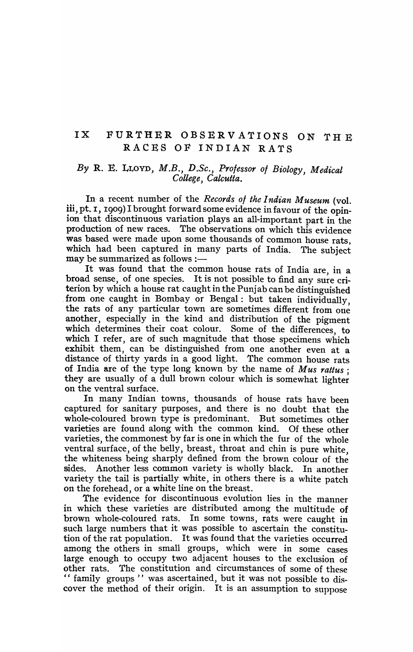# IX FURTHER OBSER V ATIONS ON TH E RA.CES OF INDIAN RATS

## *By* R. E. LLOYD, *M.B., D.Se., Professor of Biology, Medical College, Calcutta.*

In· a recent number of the *Records of the Indian Museum* (vol. iii, pt. 1, 1909) I brought forward some evidence in favour of the opinion that discontinuous variation plays an all-important part in the production of new races. The observations on which this evidence was based were made upon some thousands of common house rats, which had been captured in many parts of India. The subject may be summarized as follows  $:$ —

It was found that the common house rats of India are, in a broad sense, of one species. It is not possible to find any sure criterion by which a house rat caught in the Punjab can be distinguished . from one caught in Bombay or Bengal: but taken individually, the rats of any particular town are sometimes different from one another, especially in the kind and distribution of the pigment which determines their coat colour. Some of the differences, to which I refer, are of such magnitude that those specimens which exhibit them, can be distinguished from one another even at a distance of thirty yards in a good light. The common house rats of India are of the type long known by the name of *Mus rattus ;*  they are usually of a dull brown colour which is somewhat lighter on the ventral surface.

In many Indian towns, thousands of house rats have been captured for sanitary purposes, and there is no doubt that the whole-coloured brown type is predominant. But sometimes other varieties are found along with the common kind. Of these other varieties, the commonest by far is one in which the fur of the whole ventral surface, of the belly, breast, throat and chin is pure white, the whiteness being sharply defined from the brown colour of the sides. Another less common variety is wholly black. In another variety the tail is partially white, in others there is a white patch on the forehead, or a white line on the breast.

The evidence for discontinuous evolution lies in the manner in which these varieties are distributed among the multitude of brown whole-coloured rats. In some towns, rats were caught in such large numbers that it was possible to ascertain the constitution of the rat population. It was found that the varieties occurred among the others in small groups, which were in some cases large enough to occupy two adjacent houses to the exclusion of other rats. The constitution and circumstances of some of these "family groups" was ascertained, but it was not possible to discover the method of their origin. It is an assumption to suppose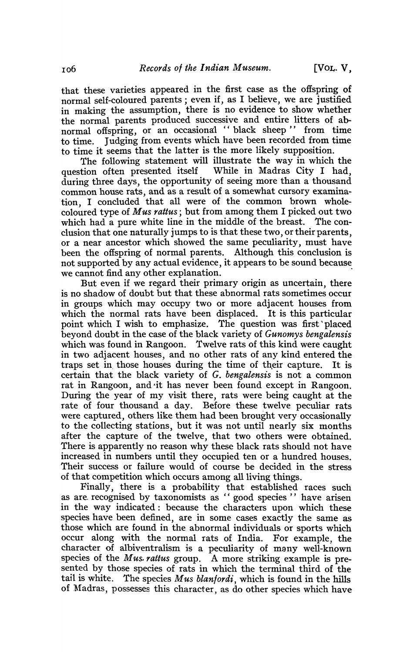that these varieties appeared in the first case as the offspring of normal self-coloured parents; even if, as I believe, we are justified in making the assumption, there is no evidence to show whether the normal parents produced successive and entire litters of abnormal offspring, or an occasional "black sheep" from time to time. Judging from events which have been recorded from time to time it seems that the latter is the more likely supposition.

The following statement will illustrate the way in which the tion often presented itself While in Madras City I had. question often presented itself during three days, the opportunity of seeing more than a thousand common house rats, and as a result of a somewhat cursory examination, I concluded that all were of the common brown wholecoloured type of *M,us rattus;* but from among them I picked out two which had a pure white line in the middle of the breast. The conclusion that one naturally jumps to is that these two, or their parents, or a near ancestor which showed the same peculiarity, must have been the offspring of normal parents. Although this conclusion is not supported by any actual evidence, it appears to be sound because we cannot find any other explanation.

But even if we regard their primary origin as uncertain, there is no shadow of doubt but that these abnormal rats sometimes occur in groups which may occupy two or more adjacent houses from which the normal rats have been displaced. It is this particular point which I wish to emphasize. The question was first placed beyond doubt in the case of the black variety of *Gunomys bengalensis*  which was found in Rangoon. Twelve rats of this kind were caught in two adjacent houses, and no other rats of any kind entered the traps set in those houses during the time of their capture. It is certain that the black variety of G. *bengalensis* is not a common rat in Rangoon, and -'it has never been found except in Rangoon. During the year of my visit there, rats were being caught at the rate of four thousand a day. Before these twelve peculiar rats were captured, others like them had been brought very occasionally to the collecting stations, but it was not until nearly six months after the capture of the twelve, that two others were obtained. There is apparently no reason why these black rats should not have increased in numbers until they occupied ten or a hundred houses. Their success or failure would of course be decided in the stress of that competition which occurs among all living things.

Finally, there is a probability that established races such as are recognised by taxonomists as "good species" have arisen in the way indicated: because the characters upon which these species have been defined, are in some cases exactly the same as those which are found in the abnormal individuals or sports which occur along with the normal rats of India. For example, the character of albiventralism is a peculiarity of many well-known species of the *Mus. rattus* group. A more striking example is presented by those species of rats in which the terminal third of the tail is white. The species *Mus blanfordi,* which is found in the hills of Madras, possesses this character, as do other species which have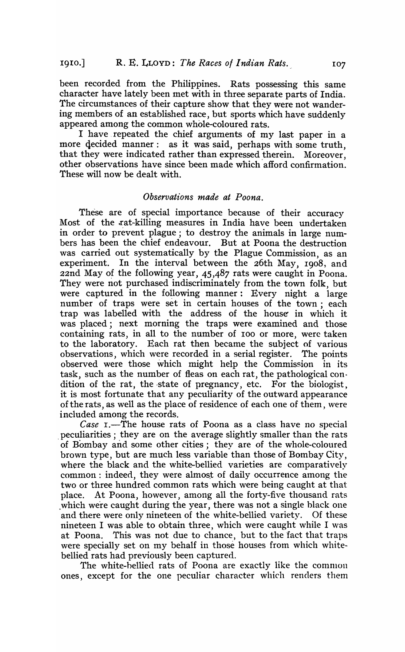been recorded from the Philippines. Rats possessing this same character have lately been met with in three separate parts of India. The circumstances of their capture show that they were not wandering members of an established race, but sports which have suddenly appeared among the common whole-coloured rats.

I have, repeated the chief arguments of my last paper in a more decided manner: as it was said, perhaps with some truth, that they were indicated rather than expressed therein. Moreover, other observations have since been made which afford confirmation. These will now be dealt with.

#### *Observations made at Poona.*

These are of special importance because of their accuracy Most of the rat-killing measures in India have been undertaken in order to prevent plague; to destroy the animals in large numbers has been the chief endeavour. But at Poona the destruction was carried out systematically by the Plague Commission, as an experiment. In the interval between the 26th May, 1908, and 22nd May of the following year, 45,487 rats were caught in Poona. They were not purchased indiscriminately from the town folk, but were captured in the following manner: Every night a large number of traps were set in certain houses of the town; each trap was labelled with the address of the house' in which it was placed; next morning the traps were examined and those containing rats, in all to the number of 100 or more, were taken to the laboratory. Each rat then became the subject of various observations, which were recorded in a serial register. The points observations, which were recorded in a serial register. observed were those which might help the Commission in its task, such as the number of fleas on each rat, the pathological condition of the rat, the state of pregnancy, etc. For the biologist, it is most fortunate that any peculiarity of the outward appearance of the rats, as well as the place of residence of each one of them, were included among the records.

*Case* I.-The house rats of Poona as a class have no special . peculiarities; they are on the average slightly smaller than the rats of Bombay and some other cities; they are of the whole-coloured brown type, but are much less variable than those of Bombay City, where the black and the white-bellied varieties are comparatively common: indeed, they were almost of daily occurrence among the two or three hundred common rats which were being caught at that place. At Poona, however, among all the forty-five thousand rats which were caught during the year, there was not a single black one and there were only nineteen of the white-bellied variety. Of these nineteen I was able to obtain three, which were caught while I was at Poona. This was not due to chance, but to the fact that traps were specially set on my behalf in those houses from which whitebellied rats had previously been captured.

The white-bellied rats of Poona are exactly like the common ones, except for the one peculiar character which renders them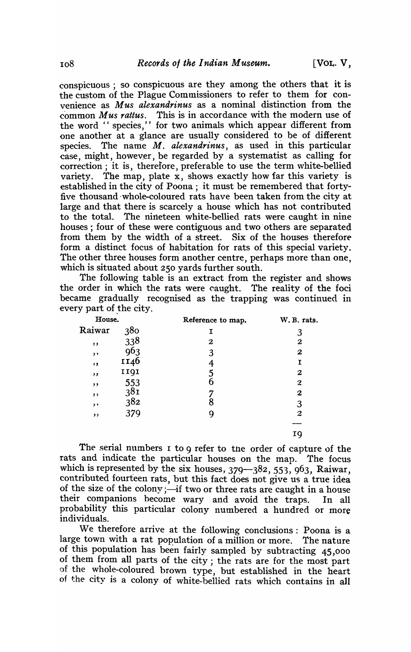conspicuous ; so conspicuous are they among the others that it is the custom of the Plague Commissioners to refer to them for convenience as *Mus alexandrinus* as a nominal distinction from the common *Mus rattus.* This is in accordance with the modern use of the word " species," for two animals which appear different from one another at a glance are usually considered to be of different species. The name *M. alexandrinus*, as used in this particular case, might, however, be regarded by a systematist as calling for correction; it is, therefore, preferable to use the term \vhite-bellied variety. The map, plate x, shows exactly how far this variety is established in the city of Poona; it must be remembered that fortyfive thousand 'whole-coloured rats have been taken from the city at large and that there is scarcely a house which has not contributed to the total. The nineteen white-bellied rats were caught in nine houses; four of these were contiguous and two others are separated from them by the width of a street. Six of the houses thereforeform a distinct focus of habitation for rats of this special variety. The other three houses form another centre, perhaps more than one, which is situated about 250 yards further south.

The following table is an extract from the register and shows the order in which the rats were caught. The reality of the foci became gradually recognised as the trapping was continued in every part of the city.

| House.       |                 | Reference to map. | W.B. rats.              |
|--------------|-----------------|-------------------|-------------------------|
| Raiwar       | 380             | Ι                 | 3                       |
| $, \,$       | 338<br>963      | 2                 | 2                       |
| $, \,$       |                 | 3                 | $\boldsymbol{2}$        |
| , ,          | II46            | 4                 | I                       |
| $, \,$       | 1191            | 5                 | $\boldsymbol{2}$        |
| , ,          | 553             | 6                 | $\overline{\mathbf{c}}$ |
| , ,          | 38 <sub>I</sub> |                   | $\boldsymbol{2}$        |
| $, \, \cdot$ | 382             | 8                 | 3                       |
| , ,          | 379             | 9                 | $\boldsymbol{2}$        |
|              |                 |                   |                         |
|              |                 |                   | 19                      |

The serial numbers I to 9 refer to the order of capture of the rats and indicate the particular houses on the map. The focus which is represented by the six houses,  $379 - 382$ ,  $553$ ,  $963$ , Raiwar, contributed fourteen rats, but this fact does not give us a true idea<br>of the size of the colony;—if two or three rats are caught in a house their companions become wary and avoid the traps. In all probability this particular colony numbered a hundred or more individuals.

We therefore arrive at the following conclusions: Poona is a large town with a rat population of a million or more. The nature of this population has been fairly sampled by subtracting 45,000 of them from all parts of the city; the rats are for the most part of the whole-coloured brown type, but established in the heart of the city is a colony of white-beilied rats which contains in all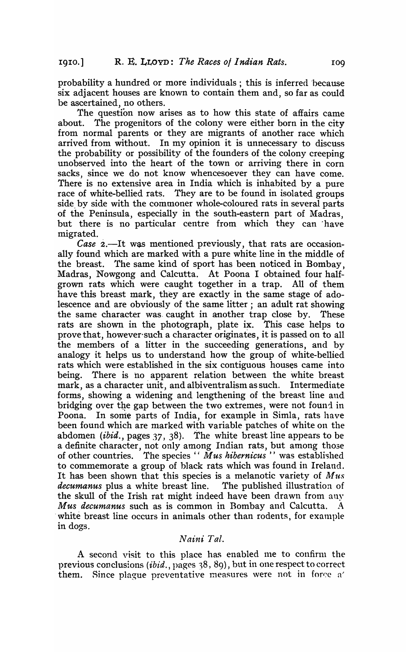probability a hundred or more individuals; this is inferred because six adjacent houses are known to contain them and, so far as could be ascertained, no others.

The question now arises as to how this state of affairs came about. The progenitors of the colony were either born in the city from normal parents or they are migrants of another race which arrived from without. In my opinion it is unnecessary to discuss the probability or possibility of the founders of the colony creeping unobserved into the heart of the town or arriving there in corn sacks, since we do not know whencesoever they can have come. There is no extensive area in India which is inhabited by a pure race of white-bellied rats. They are to be found in isolated groups side by side with the commoner whole-coloured rats in several parts of the Peninsula, especially in the south-eastern part of Madras, but there is no particular centre from which they can 'have migrated.

*Case 2.*—It was mentioned previously, that rats are occasionally found which are marked with a pure white line in the middle of the breast. The same kind of sport has been noticed in Bombay, Madras, Nowgong and Calcutta. At Poona I obtained four halfgrown rats which were caught together in a trap. All of them have this breast mark, they are exactly in the same stage of adolescence and are obviously of the same litter; an adult rat showing the same character was. caught in another trap close by. These rats are shown in the photograph, plate ix. This case helps to provethat, however-such a character originates, it is passed on to all the members of a litter in the succeeding generations, and by analogy it helps us to understand how the group of white-bellied rats which were established in the six contiguous houses came into being. There is no apparent relation between the white breast mark, as a character unit, and albiventralism as such. Intermediate forms, showing a widening and lengthening of the breast line and bridging over the gap between the two extremes, were not found in Poona. In some parts of India, for example in Simla, rats have been found which are marked with variable patches of white on the abdomen *(ibid.,* pages 37, 38). The white breast line appears to be a definite character, not only among Indian rats, but among those of other countries. The species " Mus hibernicus" was established to commemorate a group of black rats which was found in Ireland. It has been shown that this species is a melanotic variety of *Mus decumanus* plus a white breast line. The published illustration of the skull of the Irish rat might indeed have been drawn from any *Mus decumanus* such as is common in Bombay and Calcutta. A white breast line occurs in animals other than rodents, for example in dogs.

### *Naini Tal.*

A second visit to this place has enabled me to confirm the previous conclusions *(ibid.,* pages 38, 89), but in one respect to correct them. Since plague preventative measures were not in force a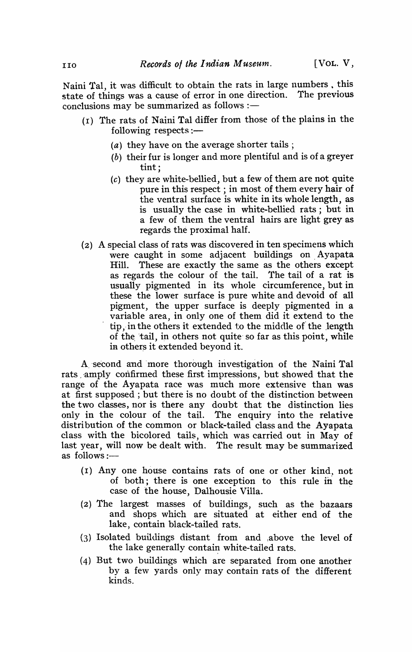Naini Tal, it was difficult to obtain the rats in large numbers, this state of things was a cause of error in one direction. The previous conclusions may be summarized as follows  $:$   $-$ 

- (I) The rats of Naini Tal differ from those of the plains in the following respects:-
	- (a) they have on the average shorter tails;
	- (b) their fur is longer and more plentiful and is of a greyer tint;
	- (c) they are white-bellied, but a few of them are not quite pure in this respect; in most of them every hair of the ventral surface is white in its whole length, as is usually the case in white-bellied rats; but in a few of them the ventral hairs are light grey as regards the proximal half.
- (2) A special class of rats was discovered in ten specimens which were caught in some adjacent buildings on. Ayapata Hill. These are exactly the same as the others except as regards the colour of the tail. The tail of a rat is usually pigmented in its whole circumference, but in these the lower surface is pure white and devoid of all pigment, the upper surface is deeply pigmented in a variable area, in only one of them did it extend to the tip, in the others it extended to the middle of the length of the 'tail, in others not quite so far as this point, while in others it extended beyond it.

A second and more thorough investigation of the Naini Tal rats amply confirmed these first impressions, but showed that the range of the Ayapata race was much more extensive than was at first supposed; but there is no doubt of the distinction between the two classes, nor is there any doubt that the distinction lies only in the colour of the tail. The enquiry into the relative distri bution of the common or black-tailed class and the Ayapata class with the bicolored tails, which was carried out in May of last year, will now be dealt with. The result may be summarized as follows:-

- (I) Anyone house contains rats of one or other kind.\_ not of both; there is one exception to this rule in the case of the house, Dalhousie Villa.
- (2) The largest masses of buildings, such as the pazaars and shops which are situated at either end of the lake, contain black-tailed rats.
- (3) Isolated buildings distant from and ,above the level of the lake generally contain white-tailed rats.
- (4) But two buildings which are separated from one another by a few yards only may contain rats of the different kinds.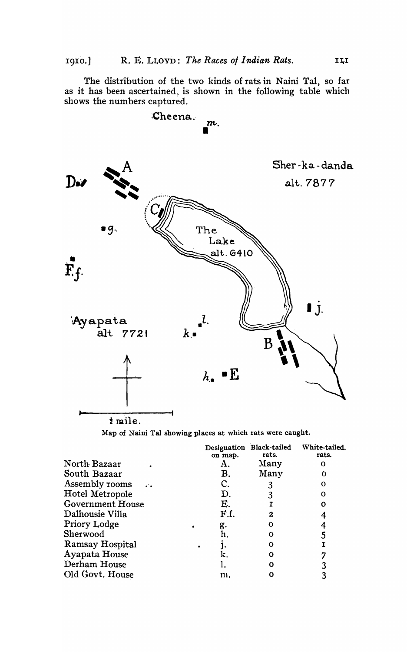The distribution of the two kinds of rats in Naini Tal, so far as it has been ascertained, is shown in the following table which shows the numbers captured.



Map of Naini Tal showing places at which rats were caught.

|                         | on map. | Designation Black-tailed<br>rats. | White-tailed.<br>rats. |
|-------------------------|---------|-----------------------------------|------------------------|
| North Bazaar            | Α.      | Many                              |                        |
| South Bazaar            | В.      | Many                              |                        |
| Assembly rooms          |         |                                   | Ω                      |
| Hotel Metropole         | D.      |                                   | റ                      |
| <b>Government House</b> | E.      |                                   |                        |
| Dalhousie Villa         | F.f.    | 2                                 |                        |
| <b>Priory Lodge</b>     | g.      | Ω                                 |                        |
| Sherwood                | h.      | ი                                 |                        |
| Ramsay Hospital         |         | Ω                                 |                        |
| Ayapata House           |         | Ω                                 |                        |
| Derham House            |         | ∩                                 |                        |
| Old Govt. House         | m.      |                                   |                        |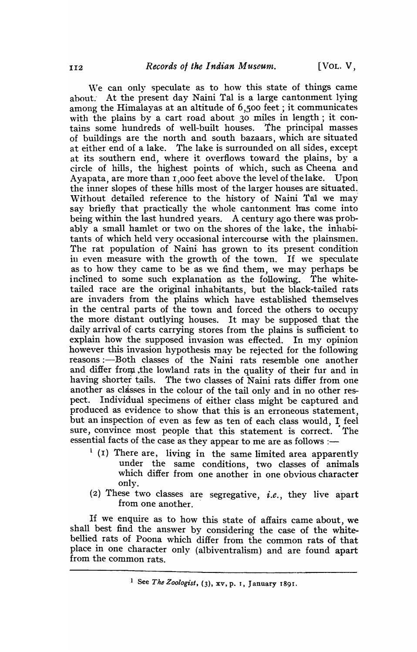We can only speculate as to how this state of things came about. At the present day Naini Tal is a large cantonment lying among the Himalayas at an altitude of 6,500 feet; it communicates with the plains by a cart road about 30 miles in length; it contains some hundreds of well-built houses. The principal masses of buildings are the north and south bazaars, which are situated at either end of a lake. The lake is surrounded on all sides, except at its southern end, where it overflows toward the plains, by a circle of hills, the highest points of which, such as Cheena and Ayapata, are more than 1,000 feet above the level of the lake. Upon the inner slopes of these hills most of the larger houses are situated. Without detailed reference to the history of Naini Tal we may say briefly that practically the whole cantonment has come into being within the last hundred years. A century ago there was probably a small hamlet or two on the shores of the lake, the inhabitants of which held very occasional intercourse with the plainsmen. The rat population of Naini has grown to its present condition in even measure with the growth of the town. If we speculate as to how they came to be as we find them, we may perhaps be inclined to some such explanation as the following. The whitetailed race are the original inhabitants, but the black-tailed rats are invaders from the plains which have established themselves in the central parts of the town and forced the others to occupy the more distant outlying houses. It may be supposed that the daily arrival of carts carrying stores from the plains is sufficient to explain how the supposed invasion was effected. In my opinion however this invasion hypothesis may be rejected for the following reasons :- Both classes of the Naini rats resemble one another and differ from the lowland rats in the quality of their fur and in having shorter tails. The two classes of Naini rats differ from one another as classes in the colour of the tail only and in no other respect. Individual specimens of either class might be captured and produced as evidence to show that this is an erroneous statement, but an inspection of even as few as ten of each class would, I feel sure, convince most people that this statement is correct. The essential facts of the case as they appear to me are as follows :-

- $(1)(1)$  There are, living in the same limited area apparently under the same conditions, two classes of animals which differ from one another in one obvious character only.
- (2) These two classes are segregative, *i.e.,* they live apart from one another. .

If we enquire as to how this state of affairs came about, we shall best find the answer by considering the case of the whitebellied rats of Poona which differ from the common rats of that place in one character only (albiventralism) and are found apart from the common rats.

<sup>&</sup>lt;sup>1</sup> See *The Zoologist*, (3), xv, p. 1, January 1891.